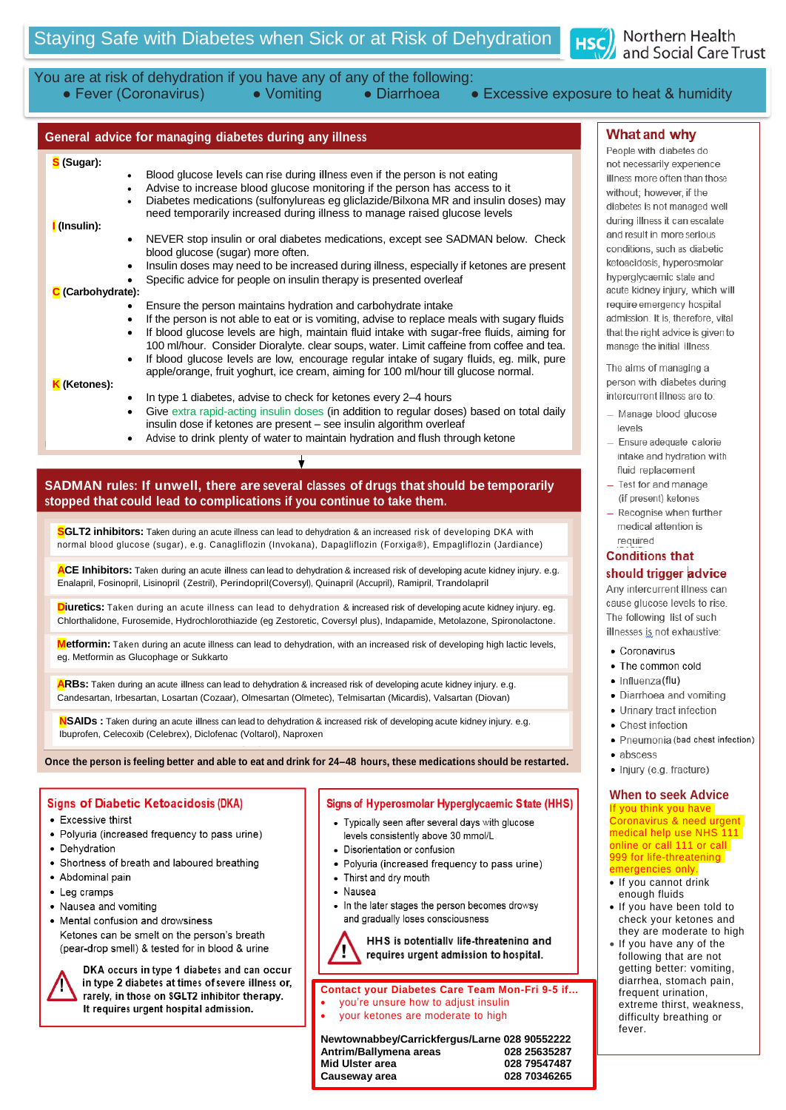

## You are at risk of dehydration if you have any of any of the following:<br>• Fever (Coronavirus) • Vomiting • Diarrhoea • • Vomiting • Diarrhoea • Excessive exposure to heat & humidity

## **General advice for managing diabetes during any illness**

#### **S (Sugar):**

- Blood glucose levels can rise during illness even if the person is not eating Blood glucose levels can rise during illness even if the person is not eating<br>Advise to increase blood glucose monitoring if the person has access to
	- Advise to increase blood glucose monitoring if the person has access to it
- Advise to increase blood glucose monitoring if the person has access to it<br>- Diabetes medications (sulfonylureas eg gliclazide/Bilxona MR and insulin doses) may need temporarily increased during illness to manage raised glucose levels
- **I (Insulin):**
- **NEVER** stop insulin or oral diabetes medications\* INEVER stop insulin or oral diabetes medications, except see SADMAN below. Check<br>blood glucose (sugar) more often. blood glucose (sugar) more often.
- Insulin doses may need to be increased during illness, especially if ketones are present • Specific advice for people on insulin therapy is presented overleaf<br>e):

#### **C (Carbohydrate):**

- **C** If the person maintains hydration and carbohydrate intake<br> **C** If the person maintains hydration and carbohydrate intake
- Erisure the person maintains riyuration and carbonydrate finake<br>• If the person is not able to eat or is vomiting, advise to replace meals with sugary fluids<br>If the person is not able to a bigh maintain fluid intelsecuti If the person is not able to eat of is vorming, advise to replace meals with sugary fluids<br>If blood glucose levels are high, maintain fluid intake with sugar-free fluids, aiming for<br>100 m/hour. Consider Discribute close so 100 ml/hour. Consider Dioralyte. clear soups, water. Limit caffeine from coffee and tea.
	- If blood glucose levels are low, encourage regular intake of sugary fluids, eg. milk, pure<br>If blood glucose levels are low, encourage regular intake of sugary fluids, eg. milk, pure If blood glucose fevers are low, encourage regular intake or sugary nulles, eg. milk, purapple/orange, fruit yoghurt, ice cream, aiming for 100 ml/hour till glucose normal.

#### **K (Ketones):**

- **Retones).**<br>• In type 1 diabetes, advise to check for ketones every 2–4 hours
- In type 1 diabetes, advise to check for ketones every 2–4 hours<br>• Give extra rapid-acting insulin doses (in addition to regular doses) based on total daily insulin dose if ketones are present – see insulin algorithm overleaf<br> **Algorithm overleaf** 
	- Advise to drink plenty of water to maintain hydration and flush through ketone

## **SADMAN rules: If unwell, there are several classes of drugs that should be temporarily stopped that could lead to complications if you continue to take them.**

 ${\bf S}$ GLT2 **inhibitors:** Taken during an acute illness can lead to dehydration & an increased risk of developing DKA with normal blood glucose (sugar), e.g. Canagliflozin (Invokana), Dapagliflozin (Forxiga®), Empagliflozin (Jardiance)

Enalapril, Fosinopril, Lisinopril (Zestril), Perindopril(Coversyl), Quinapril (Accupril), Ramipril, Trandolapril ACE Inhibitors: Taken during an acute illness can lead to dehydration & increased risk of developing acute kidney injury. e.g.

<mark>D</mark>i**uretics:** Taken during an acute illness can lead to dehydration & increased risk of developing acute kidney injury. eg.<br>Chlorthalidone, Furosemide, Hydrochlorothiazide (eg Zestoretic, Coversyl plus), Indapamide, Metol **Diuretics:** Taken during an acute illness can lead to dehydration & increased risk of developing acute kidney injury. eg.

Metformin: Taken during an acute illness can lead to dehydration, with an increased risk of developing high lactic levels,<br>eg. Metformin as Glucophage or Sukkarto eg. Metformin as Glucophage or Sukkarto

Candesartan, Irbesartan, Losartan (Cozaar), Olmesartan (Olmetec), Telmisartan (Micardis), Valsartan (Diovan) **ARBs:** Taken during an acute illness can lead to dehydration & increased risk of developing acute kidney injury. e.g.<br> **ARBs:** Taken during an acute illness can lead to dehydration & increased risk of developing acute kid

Ibuprofen, Celecoxib (Celebrex), Diclofenac (Voltarol), Naproxen **NSAIDs :** Taken during an acute illness can lead to dehydration & increased risk of developing acute kidney injury. e.g.<br>Ibunarfan, Oslaamik (Oslaham), Distafanaa (Valtaar), Naassuse

Once the person is feeling better and able to eat and drink for 24-48 hours, these medications should be restarted.

#### **Signs of Diabetic Ketoacidosis (DKA)**

- Excessive thirst
- Polyuria (increased frequency to pass urine)
- · Dehydration
- Shortness of breath and laboured breathing
- Abdominal pain
- Leg cramps
- Nausea and vomiting
- Mental confusion and drowsiness Ketones can be smelt on the person's breath (pear-drop smell) & tested for in blood & urine

DKA occurs in type 1 diabetes and can occur in type 2 diabetes at times of severe illness or, rarely, in those on SGLT2 inhibitor therapy. It requires urgent hospital admission.

#### Signs of Hyperosmolar Hyperglycaemic State (HHS)

- Typically seen after several days with glucose levels consistently above 30 mmol/L
- Disorientation or confusion
- Polyuria (increased frequency to pass urine)
- Thirst and dry mouth
- Nausea
- In the later stages the person becomes drowsy and gradually loses consciousness

HHS is potentially life-threatening and requires urgent admission to hospital.

#### **Contact your Diabetes Care Team Mon-Fri 9-5 if…** you're unsure how to adjust insulin

your ketones are moderate to high

**Newtownabbey/Carrickfergus/Larne 028 90552222 Antrim/Ballymena areas 028 25635287 Mid Ulster area 028 79547487 Causeway area** 

### **What** and why

People with diabetes do not necessarily experience illness more often than those without: however, if the diabetes is not managed well during illness it can escalate and result in more serious<br>conditions, such as diabetic ketoacidosis, hyperosmolar hyperglycaemic state and acute kidney injury, which will require emergency hospital admission. It is, therefore, vital that the right advice is given to manage the initial illness.

The aims of managing a person with diabetes during person with diabetes duri intercurrent inness are to.

- require blood glucose<br>revels levels. It is, there is, there is, there is, the set of the set of the set of the set of the set of the set of the set of the set of the set of the set of the set of the set of the set of the set of the set of the set of t
- Ensure adequate calorie intake and hydration with<br>fluid replacement
- $-$  Test for and manage (if present) ketones
- $-$  Recognise when further medical attention is required

#### **Conditions that** should trigger advice

Any intercurrent illness can cause glucose levels to rise. The following list of such illnesses is not exhaustive:

- Coronavirus
- The common cold
- 
- **•** Influenza(flu)<br>• Diarrhoea and vomiting
- **Urinary tract infection**
- Chest infection
- s onest integration  $\bullet$  Fileumonia (bad chest)
- 
- abscess<br>• Injury (e.g. fracture)

# **When to seek Advice**

If you think you have Coronavirus & need urgent medical field use who had 999 for life-threatening emergencies only. medical help use NHS 111

- If you cannot drink enough fluids
- If you have been told to check your ketones and they are moderate to high
- If you have any of the following that are not getting better: vomiting, diarrhea, stomach pain, frequent urination, extreme thirst, weakness, difficulty breathing or fever.